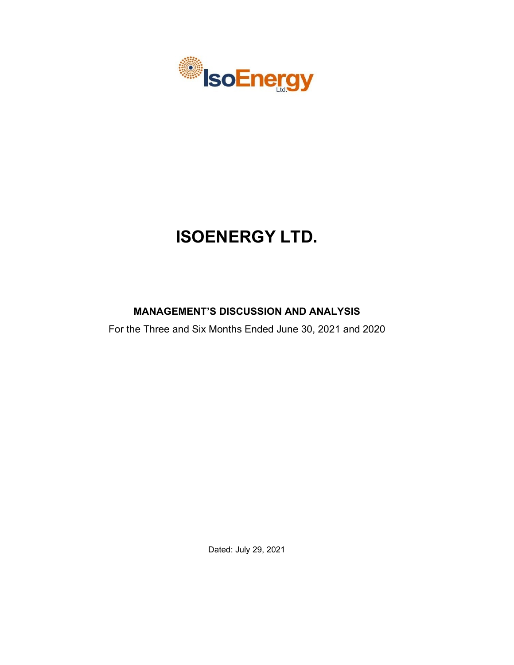

# **ISOENERGY LTD.**

## **MANAGEMENT'S DISCUSSION AND ANALYSIS**

For the Three and Six Months Ended June 30, 2021 and 2020

Dated: July 29, 2021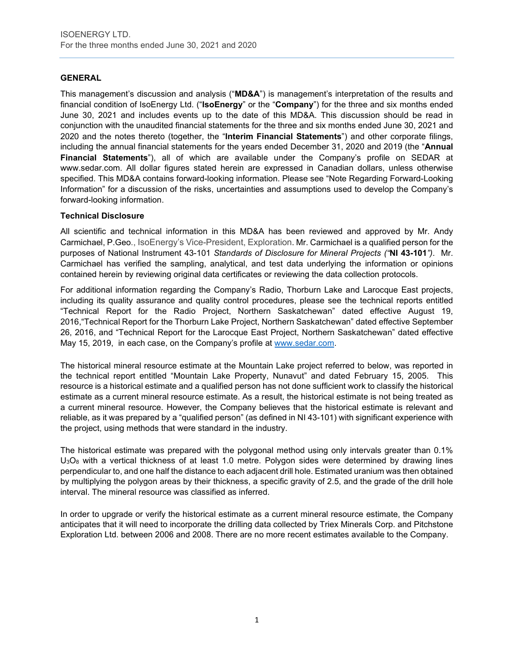## **GENERAL**

This management's discussion and analysis ("**MD&A**") is management's interpretation of the results and financial condition of IsoEnergy Ltd. ("**IsoEnergy**" or the "**Company**") for the three and six months ended June 30, 2021 and includes events up to the date of this MD&A. This discussion should be read in conjunction with the unaudited financial statements for the three and six months ended June 30, 2021 and 2020 and the notes thereto (together, the "**Interim Financial Statements**") and other corporate filings, including the annual financial statements for the years ended December 31, 2020 and 2019 (the "**Annual Financial Statements**"), all of which are available under the Company's profile on SEDAR at www.sedar.com. All dollar figures stated herein are expressed in Canadian dollars, unless otherwise specified. This MD&A contains forward-looking information. Please see "Note Regarding Forward-Looking Information" for a discussion of the risks, uncertainties and assumptions used to develop the Company's forward-looking information.

## **Technical Disclosure**

All scientific and technical information in this MD&A has been reviewed and approved by Mr. Andy Carmichael, P.Geo., IsoEnergy's Vice-President, Exploration. Mr. Carmichael is a qualified person for the purposes of National Instrument 43-101 *Standards of Disclosure for Mineral Projects ("***NI 43-101***")*. Mr. Carmichael has verified the sampling, analytical, and test data underlying the information or opinions contained herein by reviewing original data certificates or reviewing the data collection protocols.

For additional information regarding the Company's Radio, Thorburn Lake and Larocque East projects, including its quality assurance and quality control procedures, please see the technical reports entitled "Technical Report for the Radio Project, Northern Saskatchewan" dated effective August 19, 2016,"Technical Report for the Thorburn Lake Project, Northern Saskatchewan" dated effective September 26, 2016, and "Technical Report for the Larocque East Project, Northern Saskatchewan" dated effective May 15, 2019, in each case, on the Company's profile at [www.sedar.com.](http://www.sedar.com/)

The historical mineral resource estimate at the Mountain Lake project referred to below, was reported in the technical report entitled "Mountain Lake Property, Nunavut" and dated February 15, 2005. This resource is a historical estimate and a qualified person has not done sufficient work to classify the historical estimate as a current mineral resource estimate. As a result, the historical estimate is not being treated as a current mineral resource. However, the Company believes that the historical estimate is relevant and reliable, as it was prepared by a "qualified person" (as defined in NI 43-101) with significant experience with the project, using methods that were standard in the industry.

The historical estimate was prepared with the polygonal method using only intervals greater than 0.1%  $U_3O_8$  with a vertical thickness of at least 1.0 metre. Polygon sides were determined by drawing lines perpendicular to, and one half the distance to each adjacent drill hole. Estimated uranium was then obtained by multiplying the polygon areas by their thickness, a specific gravity of 2.5, and the grade of the drill hole interval. The mineral resource was classified as inferred.

In order to upgrade or verify the historical estimate as a current mineral resource estimate, the Company anticipates that it will need to incorporate the drilling data collected by Triex Minerals Corp. and Pitchstone Exploration Ltd. between 2006 and 2008. There are no more recent estimates available to the Company.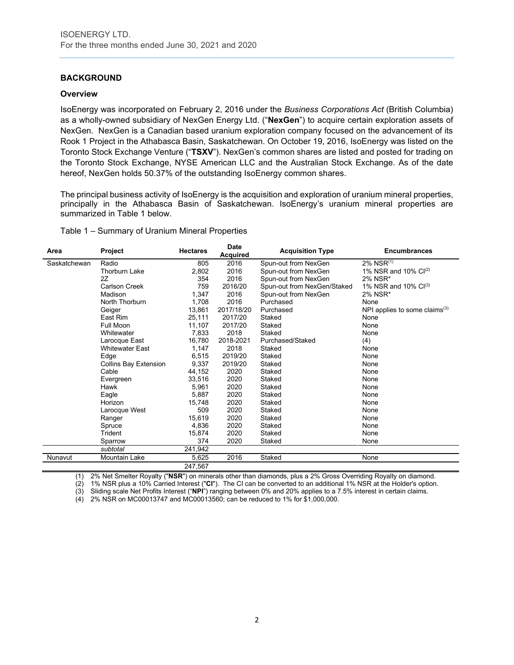## **BACKGROUND**

#### **Overview**

IsoEnergy was incorporated on February 2, 2016 under the *Business Corporations Act* (British Columbia) as a wholly-owned subsidiary of NexGen Energy Ltd. ("**NexGen**") to acquire certain exploration assets of NexGen. NexGen is a Canadian based uranium exploration company focused on the advancement of its Rook 1 Project in the Athabasca Basin, Saskatchewan. On October 19, 2016, IsoEnergy was listed on the Toronto Stock Exchange Venture ("**TSXV**"). NexGen's common shares are listed and posted for trading on the Toronto Stock Exchange, NYSE American LLC and the Australian Stock Exchange. As of the date hereof, NexGen holds 50.37% of the outstanding IsoEnergy common shares.

The principal business activity of IsoEnergy is the acquisition and exploration of uranium mineral properties, principally in the Athabasca Basin of Saskatchewan. IsoEnergy's uranium mineral properties are summarized in Table 1 below.

Table 1 – Summary of Uranium Mineral Properties

| Area         | Project                      | <b>Hectares</b> | <b>Date</b><br><b>Acquired</b> | <b>Acquisition Type</b>     | <b>Encumbrances</b>              |
|--------------|------------------------------|-----------------|--------------------------------|-----------------------------|----------------------------------|
| Saskatchewan | Radio                        | 805             | 2016                           | Spun-out from NexGen        | 2% NSR(1)                        |
|              | <b>Thorburn Lake</b>         | 2,802           | 2016                           | Spun-out from NexGen        | 1% NSR and 10% $Cl^{(2)}$        |
|              | 2Z                           | 354             | 2016                           | Spun-out from NexGen        | 2% NSR*                          |
|              | <b>Carlson Creek</b>         | 759             | 2016/20                        | Spun-out from NexGen/Staked | 1% NSR and 10% $Cl^{(3)}$        |
|              | Madison                      | 1,347           | 2016                           | Spun-out from NexGen        | 2% NSR*                          |
|              | North Thorburn               | 1,708           | 2016                           | Purchased                   | None                             |
|              | Geiger                       | 13,861          | 2017/18/20                     | Purchased                   | NPI applies to some claims $(3)$ |
|              | East Rim                     | 25,111          | 2017/20                        | Staked                      | None                             |
|              | Full Moon                    | 11,107          | 2017/20                        | Staked                      | None                             |
|              | Whitewater                   | 7,833           | 2018                           | Staked                      | None                             |
|              | Larocque East                | 16,780          | 2018-2021                      | Purchased/Staked            | (4)                              |
|              | <b>Whitewater East</b>       | 1,147           | 2018                           | Staked                      | None                             |
|              | Edge                         | 6,515           | 2019/20                        | Staked                      | None                             |
|              | <b>Collins Bay Extension</b> | 9,337           | 2019/20                        | Staked                      | None                             |
|              | Cable                        | 44,152          | 2020                           | Staked                      | None                             |
|              | Evergreen                    | 33,516          | 2020                           | Staked                      | None                             |
|              | Hawk                         | 5,961           | 2020                           | Staked                      | None                             |
|              | Eagle                        | 5,887           | 2020                           | Staked                      | None                             |
|              | Horizon                      | 15,748          | 2020                           | Staked                      | None                             |
|              | Larocque West                | 509             | 2020                           | Staked                      | None                             |
|              | Ranger                       | 15,619          | 2020                           | Staked                      | None                             |
|              | Spruce                       | 4,836           | 2020                           | Staked                      | None                             |
|              | Trident                      | 15,874          | 2020                           | Staked                      | None                             |
|              | Sparrow                      | 374             | 2020                           | Staked                      | None                             |
|              | subtotal                     | 241,942         |                                |                             |                                  |
| Nunavut      | <b>Mountain Lake</b>         | 5,625           | 2016                           | Staked                      | None                             |
|              |                              | 247,567         |                                |                             |                                  |

(1) 2% Net Smelter Royalty ("**NSR**") on minerals other than diamonds, plus a 2% Gross Overriding Royalty on diamond.

(2) 1% NSR plus a 10% Carried Interest ("**CI**"). The CI can be converted to an additional 1% NSR at the Holder's option.

(3) Sliding scale Net Profits Interest ("**NPI**") ranging between 0% and 20% applies to a 7.5% interest in certain claims.

 $(4)$  2% NSR on MC00013747 and MC00013560; can be reduced to 1% for \$1,000,000.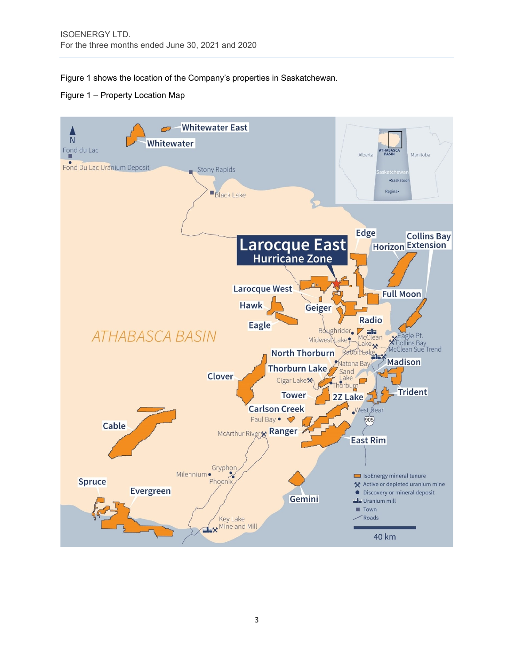Figure 1 shows the location of the Company's properties in Saskatchewan.



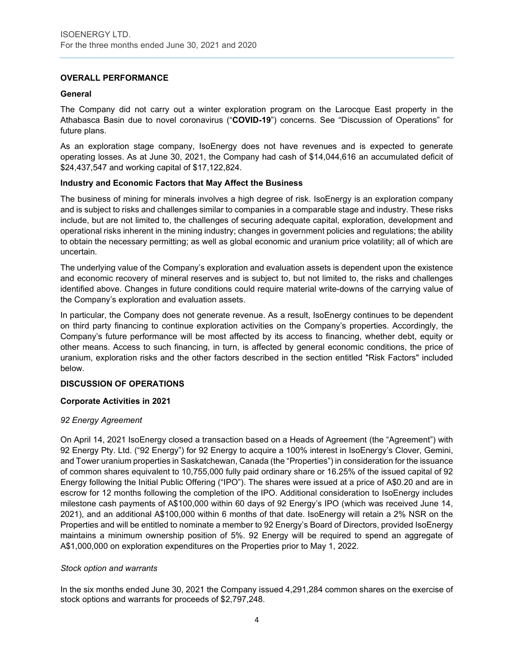## **OVERALL PERFORMANCE**

## **General**

The Company did not carry out a winter exploration program on the Larocque East property in the Athabasca Basin due to novel coronavirus ("**COVID-19**") concerns. See "Discussion of Operations" for future plans.

As an exploration stage company, IsoEnergy does not have revenues and is expected to generate operating losses. As at June 30, 2021, the Company had cash of \$14,044,616 an accumulated deficit of \$24,437,547 and working capital of \$17,122,824.

## **Industry and Economic Factors that May Affect the Business**

The business of mining for minerals involves a high degree of risk. IsoEnergy is an exploration company and is subject to risks and challenges similar to companies in a comparable stage and industry. These risks include, but are not limited to, the challenges of securing adequate capital, exploration, development and operational risks inherent in the mining industry; changes in government policies and regulations; the ability to obtain the necessary permitting; as well as global economic and uranium price volatility; all of which are uncertain.

The underlying value of the Company's exploration and evaluation assets is dependent upon the existence and economic recovery of mineral reserves and is subject to, but not limited to, the risks and challenges identified above. Changes in future conditions could require material write-downs of the carrying value of the Company's exploration and evaluation assets.

In particular, the Company does not generate revenue. As a result, IsoEnergy continues to be dependent on third party financing to continue exploration activities on the Company's properties. Accordingly, the Company's future performance will be most affected by its access to financing, whether debt, equity or other means. Access to such financing, in turn, is affected by general economic conditions, the price of uranium, exploration risks and the other factors described in the section entitled "Risk Factors" included below.

## **DISCUSSION OF OPERATIONS**

## **Corporate Activities in 2021**

#### *92 Energy Agreement*

On April 14, 2021 IsoEnergy closed a transaction based on a Heads of Agreement (the "Agreement") with 92 Energy Pty. Ltd. ("92 Energy") for 92 Energy to acquire a 100% interest in IsoEnergy's Clover, Gemini, and Tower uranium properties in Saskatchewan, Canada (the "Properties") in consideration for the issuance of common shares equivalent to 10,755,000 fully paid ordinary share or 16.25% of the issued capital of 92 Energy following the Initial Public Offering ("IPO"). The shares were issued at a price of A\$0.20 and are in escrow for 12 months following the completion of the IPO. Additional consideration to IsoEnergy includes milestone cash payments of A\$100,000 within 60 days of 92 Energy's IPO (which was received June 14, 2021), and an additional A\$100,000 within 6 months of that date. IsoEnergy will retain a 2% NSR on the Properties and will be entitled to nominate a member to 92 Energy's Board of Directors, provided IsoEnergy maintains a minimum ownership position of 5%. 92 Energy will be required to spend an aggregate of A\$1,000,000 on exploration expenditures on the Properties prior to May 1, 2022.

#### *Stock option and warrants*

In the six months ended June 30, 2021 the Company issued 4,291,284 common shares on the exercise of stock options and warrants for proceeds of \$2,797,248.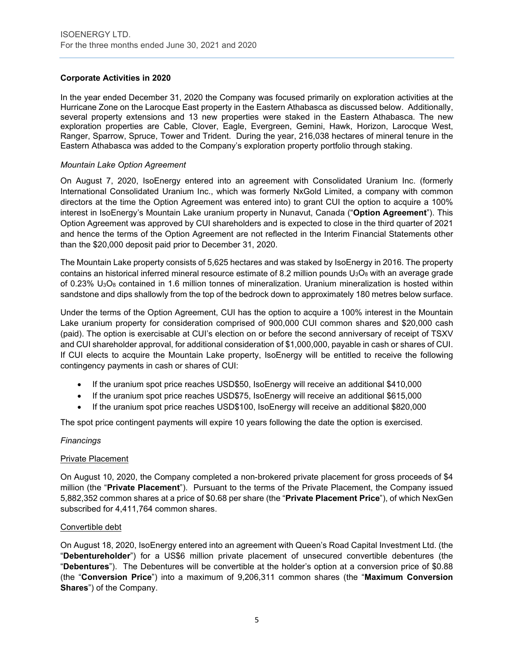## **Corporate Activities in 2020**

In the year ended December 31, 2020 the Company was focused primarily on exploration activities at the Hurricane Zone on the Larocque East property in the Eastern Athabasca as discussed below. Additionally, several property extensions and 13 new properties were staked in the Eastern Athabasca. The new exploration properties are Cable, Clover, Eagle, Evergreen, Gemini, Hawk, Horizon, Larocque West, Ranger, Sparrow, Spruce, Tower and Trident. During the year, 216,038 hectares of mineral tenure in the Eastern Athabasca was added to the Company's exploration property portfolio through staking.

## *Mountain Lake Option Agreement*

On August 7, 2020, IsoEnergy entered into an agreement with Consolidated Uranium Inc. (formerly International Consolidated Uranium Inc., which was formerly NxGold Limited, a company with common directors at the time the Option Agreement was entered into) to grant CUI the option to acquire a 100% interest in IsoEnergy's Mountain Lake uranium property in Nunavut, Canada ("**Option Agreement**"). This Option Agreement was approved by CUI shareholders and is expected to close in the third quarter of 2021 and hence the terms of the Option Agreement are not reflected in the Interim Financial Statements other than the \$20,000 deposit paid prior to December 31, 2020.

The Mountain Lake property consists of 5,625 hectares and was staked by IsoEnergy in 2016. The property contains an historical inferred mineral resource estimate of 8.2 million pounds  $U_3O_8$  with an average grade of 0.23%  $U<sub>3</sub>O<sub>8</sub>$  contained in 1.6 million tonnes of mineralization. Uranium mineralization is hosted within sandstone and dips shallowly from the top of the bedrock down to approximately 180 metres below surface.

Under the terms of the Option Agreement, CUI has the option to acquire a 100% interest in the Mountain Lake uranium property for consideration comprised of 900,000 CUI common shares and \$20,000 cash (paid). The option is exercisable at CUI's election on or before the second anniversary of receipt of TSXV and CUI shareholder approval, for additional consideration of \$1,000,000, payable in cash or shares of CUI. If CUI elects to acquire the Mountain Lake property, IsoEnergy will be entitled to receive the following contingency payments in cash or shares of CUI:

- If the uranium spot price reaches USD\$50, IsoEnergy will receive an additional \$410,000
- If the uranium spot price reaches USD\$75, IsoEnergy will receive an additional \$615,000
- If the uranium spot price reaches USD\$100, IsoEnergy will receive an additional \$820,000

The spot price contingent payments will expire 10 years following the date the option is exercised.

#### *Financings*

#### Private Placement

On August 10, 2020, the Company completed a non-brokered private placement for gross proceeds of \$4 million (the "**Private Placement**"). Pursuant to the terms of the Private Placement, the Company issued 5,882,352 common shares at a price of \$0.68 per share (the "**Private Placement Price**"), of which NexGen subscribed for 4,411,764 common shares.

#### Convertible debt

On August 18, 2020, IsoEnergy entered into an agreement with Queen's Road Capital Investment Ltd. (the "**Debentureholder**") for a US\$6 million private placement of unsecured convertible debentures (the "**Debentures**"). The Debentures will be convertible at the holder's option at a conversion price of \$0.88 (the "**Conversion Price**") into a maximum of 9,206,311 common shares (the "**Maximum Conversion Shares**") of the Company.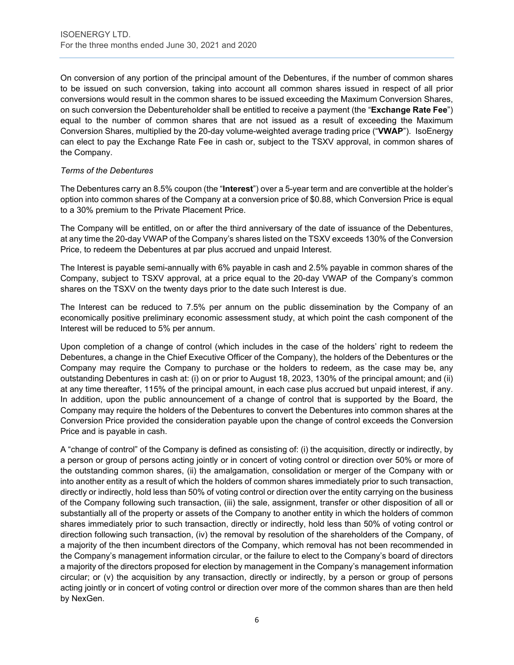On conversion of any portion of the principal amount of the Debentures, if the number of common shares to be issued on such conversion, taking into account all common shares issued in respect of all prior conversions would result in the common shares to be issued exceeding the Maximum Conversion Shares, on such conversion the Debentureholder shall be entitled to receive a payment (the "**Exchange Rate Fee**") equal to the number of common shares that are not issued as a result of exceeding the Maximum Conversion Shares, multiplied by the 20-day volume-weighted average trading price ("**VWAP**"). IsoEnergy can elect to pay the Exchange Rate Fee in cash or, subject to the TSXV approval, in common shares of the Company.

## *Terms of the Debentures*

The Debentures carry an 8.5% coupon (the "**Interest**") over a 5-year term and are convertible at the holder's option into common shares of the Company at a conversion price of \$0.88, which Conversion Price is equal to a 30% premium to the Private Placement Price.

The Company will be entitled, on or after the third anniversary of the date of issuance of the Debentures, at any time the 20-day VWAP of the Company's shares listed on the TSXV exceeds 130% of the Conversion Price, to redeem the Debentures at par plus accrued and unpaid Interest.

The Interest is payable semi-annually with 6% payable in cash and 2.5% payable in common shares of the Company, subject to TSXV approval, at a price equal to the 20-day VWAP of the Company's common shares on the TSXV on the twenty days prior to the date such Interest is due.

The Interest can be reduced to 7.5% per annum on the public dissemination by the Company of an economically positive preliminary economic assessment study, at which point the cash component of the Interest will be reduced to 5% per annum.

Upon completion of a change of control (which includes in the case of the holders' right to redeem the Debentures, a change in the Chief Executive Officer of the Company), the holders of the Debentures or the Company may require the Company to purchase or the holders to redeem, as the case may be, any outstanding Debentures in cash at: (i) on or prior to August 18, 2023, 130% of the principal amount; and (ii) at any time thereafter, 115% of the principal amount, in each case plus accrued but unpaid interest, if any. In addition, upon the public announcement of a change of control that is supported by the Board, the Company may require the holders of the Debentures to convert the Debentures into common shares at the Conversion Price provided the consideration payable upon the change of control exceeds the Conversion Price and is payable in cash.

A "change of control" of the Company is defined as consisting of: (i) the acquisition, directly or indirectly, by a person or group of persons acting jointly or in concert of voting control or direction over 50% or more of the outstanding common shares, (ii) the amalgamation, consolidation or merger of the Company with or into another entity as a result of which the holders of common shares immediately prior to such transaction, directly or indirectly, hold less than 50% of voting control or direction over the entity carrying on the business of the Company following such transaction, (iii) the sale, assignment, transfer or other disposition of all or substantially all of the property or assets of the Company to another entity in which the holders of common shares immediately prior to such transaction, directly or indirectly, hold less than 50% of voting control or direction following such transaction, (iv) the removal by resolution of the shareholders of the Company, of a majority of the then incumbent directors of the Company, which removal has not been recommended in the Company's management information circular, or the failure to elect to the Company's board of directors a majority of the directors proposed for election by management in the Company's management information circular; or (v) the acquisition by any transaction, directly or indirectly, by a person or group of persons acting jointly or in concert of voting control or direction over more of the common shares than are then held by NexGen.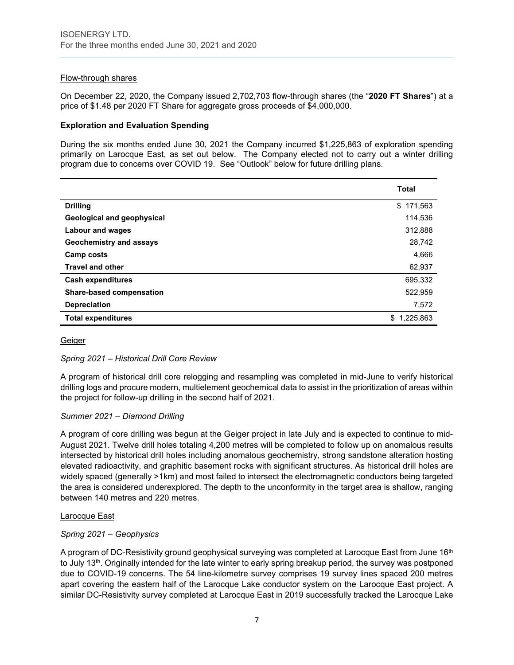## Flow-through shares

On December 22, 2020, the Company issued 2,702,703 flow-through shares (the "**2020 FT Shares**") at a price of \$1.48 per 2020 FT Share for aggregate gross proceeds of \$4,000,000.

#### **Exploration and Evaluation Spending**

During the six months ended June 30, 2021 the Company incurred \$1,225,863 of exploration spending primarily on Larocque East, as set out below. The Company elected not to carry out a winter drilling program due to concerns over COVID 19. See "Outlook" below for future drilling plans.

|                                   | <b>Total</b> |
|-----------------------------------|--------------|
| <b>Drilling</b>                   | \$171,563    |
| <b>Geological and geophysical</b> | 114,536      |
| <b>Labour and wages</b>           | 312,888      |
| Geochemistry and assays           | 28,742       |
| Camp costs                        | 4,666        |
| <b>Travel and other</b>           | 62,937       |
| <b>Cash expenditures</b>          | 695,332      |
| <b>Share-based compensation</b>   | 522,959      |
| <b>Depreciation</b>               | 7,572        |
| <b>Total expenditures</b>         | 1,225,863    |

#### **Geiger**

#### *Spring 2021 – Historical Drill Core Review*

A program of historical drill core relogging and resampling was completed in mid-June to verify historical drilling logs and procure modern, multielement geochemical data to assist in the prioritization of areas within the project for follow-up drilling in the second half of 2021.

#### *Summer 2021 – Diamond Drilling*

A program of core drilling was begun at the Geiger project in late July and is expected to continue to mid-August 2021. Twelve drill holes totaling 4,200 metres will be completed to follow up on anomalous results intersected by historical drill holes including anomalous geochemistry, strong sandstone alteration hosting elevated radioactivity, and graphitic basement rocks with significant structures. As historical drill holes are widely spaced (generally >1km) and most failed to intersect the electromagnetic conductors being targeted the area is considered underexplored. The depth to the unconformity in the target area is shallow, ranging between 140 metres and 220 metres.

#### Larocque East

## *Spring 2021 – Geophysics*

A program of DC-Resistivity ground geophysical surveying was completed at Larocque East from June 16<sup>th</sup> to July 13th. Originally intended for the late winter to early spring breakup period, the survey was postponed due to COVID-19 concerns. The 54 line-kilometre survey comprises 19 survey lines spaced 200 metres apart covering the eastern half of the Larocque Lake conductor system on the Larocque East project. A similar DC-Resistivity survey completed at Larocque East in 2019 successfully tracked the Larocque Lake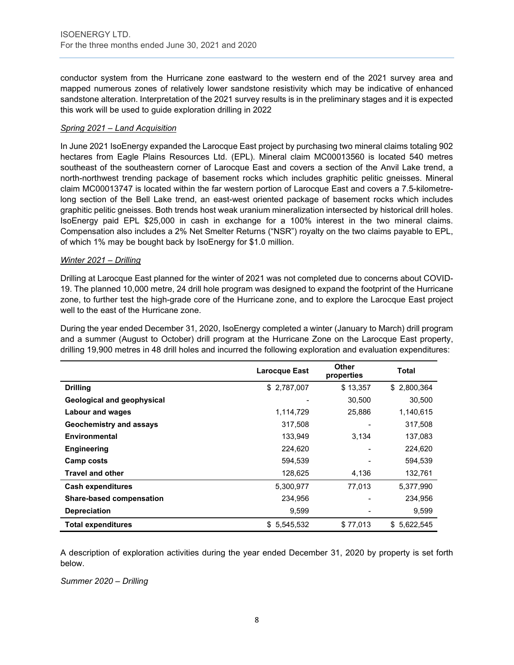conductor system from the Hurricane zone eastward to the western end of the 2021 survey area and mapped numerous zones of relatively lower sandstone resistivity which may be indicative of enhanced sandstone alteration. Interpretation of the 2021 survey results is in the preliminary stages and it is expected this work will be used to guide exploration drilling in 2022

## *Spring 2021 – Land Acquisition*

In June 2021 IsoEnergy expanded the Larocque East project by purchasing two mineral claims totaling 902 hectares from Eagle Plains Resources Ltd. (EPL). Mineral claim MC00013560 is located 540 metres southeast of the southeastern corner of Larocque East and covers a section of the Anvil Lake trend, a north-northwest trending package of basement rocks which includes graphitic pelitic gneisses. Mineral claim MC00013747 is located within the far western portion of Larocque East and covers a 7.5-kilometrelong section of the Bell Lake trend, an east-west oriented package of basement rocks which includes graphitic pelitic gneisses. Both trends host weak uranium mineralization intersected by historical drill holes. IsoEnergy paid EPL \$25,000 in cash in exchange for a 100% interest in the two mineral claims. Compensation also includes a 2% Net Smelter Returns ("NSR") royalty on the two claims payable to EPL, of which 1% may be bought back by IsoEnergy for \$1.0 million.

## *Winter 2021 – Drilling*

Drilling at Larocque East planned for the winter of 2021 was not completed due to concerns about COVID-19. The planned 10,000 metre, 24 drill hole program was designed to expand the footprint of the Hurricane zone, to further test the high-grade core of the Hurricane zone, and to explore the Larocque East project well to the east of the Hurricane zone.

During the year ended December 31, 2020, IsoEnergy completed a winter (January to March) drill program and a summer (August to October) drill program at the Hurricane Zone on the Larocque East property, drilling 19,900 metres in 48 drill holes and incurred the following exploration and evaluation expenditures:

|                                   | <b>Larocque East</b> | Other<br>properties | <b>Total</b> |
|-----------------------------------|----------------------|---------------------|--------------|
| <b>Drilling</b>                   | \$2,787,007          | \$13,357            | \$2,800,364  |
| <b>Geological and geophysical</b> |                      | 30,500              | 30,500       |
| Labour and wages                  | 1,114,729            | 25,886              | 1,140,615    |
| Geochemistry and assays           | 317,508              |                     | 317,508      |
| <b>Environmental</b>              | 133,949              | 3,134               | 137,083      |
| <b>Engineering</b>                | 224,620              |                     | 224,620      |
| Camp costs                        | 594,539              |                     | 594,539      |
| <b>Travel and other</b>           | 128,625              | 4,136               | 132,761      |
| <b>Cash expenditures</b>          | 5,300,977            | 77,013              | 5,377,990    |
| <b>Share-based compensation</b>   | 234.956              |                     | 234,956      |
| <b>Depreciation</b>               | 9,599                |                     | 9,599        |
| <b>Total expenditures</b>         | \$5,545,532          | \$77,013            | \$5,622,545  |

A description of exploration activities during the year ended December 31, 2020 by property is set forth below.

*Summer 2020 – Drilling*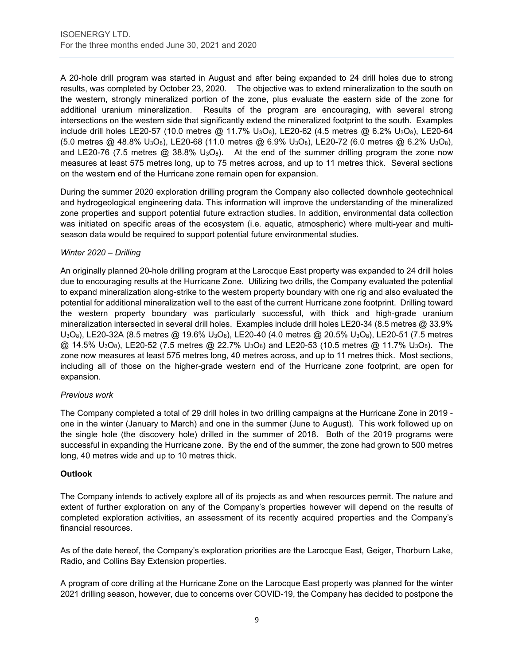A 20-hole drill program was started in August and after being expanded to 24 drill holes due to strong results, was completed by October 23, 2020. The objective was to extend mineralization to the south on the western, strongly mineralized portion of the zone, plus evaluate the eastern side of the zone for additional uranium mineralization. Results of the program are encouraging, with several strong intersections on the western side that significantly extend the mineralized footprint to the south. Examples include drill holes LE20-57 (10.0 metres @ 11.7% U<sub>3</sub>O<sub>8</sub>), LE20-62 (4.5 metres @ 6.2% U<sub>3</sub>O<sub>8</sub>), LE20-64 (5.0 metres @ 48.8% U3O8), LE20-68 (11.0 metres @ 6.9% U3O8), LE20-72 (6.0 metres @ 6.2% U3O8), and LE20-76 (7.5 metres  $@38.8\%$  U<sub>3</sub>O<sub>8</sub>). At the end of the summer drilling program the zone now measures at least 575 metres long, up to 75 metres across, and up to 11 metres thick. Several sections on the western end of the Hurricane zone remain open for expansion.

During the summer 2020 exploration drilling program the Company also collected downhole geotechnical and hydrogeological engineering data. This information will improve the understanding of the mineralized zone properties and support potential future extraction studies. In addition, environmental data collection was initiated on specific areas of the ecosystem (i.e. aquatic, atmospheric) where multi-year and multiseason data would be required to support potential future environmental studies.

## *Winter 2020 – Drilling*

An originally planned 20-hole drilling program at the Larocque East property was expanded to 24 drill holes due to encouraging results at the Hurricane Zone. Utilizing two drills, the Company evaluated the potential to expand mineralization along-strike to the western property boundary with one rig and also evaluated the potential for additional mineralization well to the east of the current Hurricane zone footprint. Drilling toward the western property boundary was particularly successful, with thick and high-grade uranium mineralization intersected in several drill holes. Examples include drill holes LE20-34 (8.5 metres @ 33.9% U3O8), LE20-32A (8.5 metres @ 19.6% U3O8), LE20-40 (4.0 metres @ 20.5% U3O8), LE20-51 (7.5 metres  $@. 14.5\%$  U<sub>3</sub>O<sub>8</sub>), LE20-52 (7.5 metres  $@. 22.7\%$  U<sub>3</sub>O<sub>8</sub>) and LE20-53 (10.5 metres  $@. 11.7\%$  U<sub>3</sub>O<sub>8</sub>). The zone now measures at least 575 metres long, 40 metres across, and up to 11 metres thick. Most sections, including all of those on the higher-grade western end of the Hurricane zone footprint, are open for expansion.

## *Previous work*

The Company completed a total of 29 drill holes in two drilling campaigns at the Hurricane Zone in 2019 one in the winter (January to March) and one in the summer (June to August). This work followed up on the single hole (the discovery hole) drilled in the summer of 2018. Both of the 2019 programs were successful in expanding the Hurricane zone. By the end of the summer, the zone had grown to 500 metres long, 40 metres wide and up to 10 metres thick.

## **Outlook**

The Company intends to actively explore all of its projects as and when resources permit. The nature and extent of further exploration on any of the Company's properties however will depend on the results of completed exploration activities, an assessment of its recently acquired properties and the Company's financial resources.

As of the date hereof, the Company's exploration priorities are the Larocque East, Geiger, Thorburn Lake, Radio, and Collins Bay Extension properties.

A program of core drilling at the Hurricane Zone on the Larocque East property was planned for the winter 2021 drilling season, however, due to concerns over COVID-19, the Company has decided to postpone the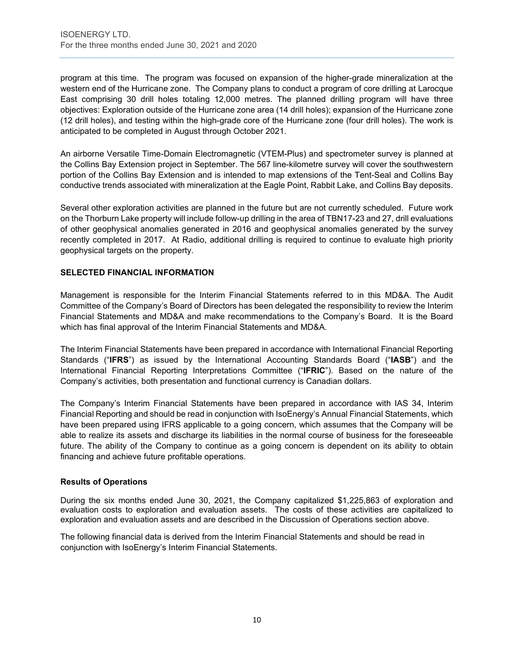program at this time. The program was focused on expansion of the higher-grade mineralization at the western end of the Hurricane zone. The Company plans to conduct a program of core drilling at Larocque East comprising 30 drill holes totaling 12,000 metres. The planned drilling program will have three objectives: Exploration outside of the Hurricane zone area (14 drill holes); expansion of the Hurricane zone (12 drill holes), and testing within the high-grade core of the Hurricane zone (four drill holes). The work is anticipated to be completed in August through October 2021.

An airborne Versatile Time-Domain Electromagnetic (VTEM-Plus) and spectrometer survey is planned at the Collins Bay Extension project in September. The 567 line-kilometre survey will cover the southwestern portion of the Collins Bay Extension and is intended to map extensions of the Tent-Seal and Collins Bay conductive trends associated with mineralization at the Eagle Point, Rabbit Lake, and Collins Bay deposits.

Several other exploration activities are planned in the future but are not currently scheduled. Future work on the Thorburn Lake property will include follow-up drilling in the area of TBN17-23 and 27, drill evaluations of other geophysical anomalies generated in 2016 and geophysical anomalies generated by the survey recently completed in 2017. At Radio, additional drilling is required to continue to evaluate high priority geophysical targets on the property.

## **SELECTED FINANCIAL INFORMATION**

Management is responsible for the Interim Financial Statements referred to in this MD&A. The Audit Committee of the Company's Board of Directors has been delegated the responsibility to review the Interim Financial Statements and MD&A and make recommendations to the Company's Board. It is the Board which has final approval of the Interim Financial Statements and MD&A.

The Interim Financial Statements have been prepared in accordance with International Financial Reporting Standards ("**IFRS**") as issued by the International Accounting Standards Board ("**IASB**") and the International Financial Reporting Interpretations Committee ("**IFRIC**"). Based on the nature of the Company's activities, both presentation and functional currency is Canadian dollars.

The Company's Interim Financial Statements have been prepared in accordance with IAS 34, Interim Financial Reporting and should be read in conjunction with IsoEnergy's Annual Financial Statements, which have been prepared using IFRS applicable to a going concern, which assumes that the Company will be able to realize its assets and discharge its liabilities in the normal course of business for the foreseeable future. The ability of the Company to continue as a going concern is dependent on its ability to obtain financing and achieve future profitable operations.

## **Results of Operations**

During the six months ended June 30, 2021, the Company capitalized \$1,225,863 of exploration and evaluation costs to exploration and evaluation assets. The costs of these activities are capitalized to exploration and evaluation assets and are described in the Discussion of Operations section above.

The following financial data is derived from the Interim Financial Statements and should be read in conjunction with IsoEnergy's Interim Financial Statements.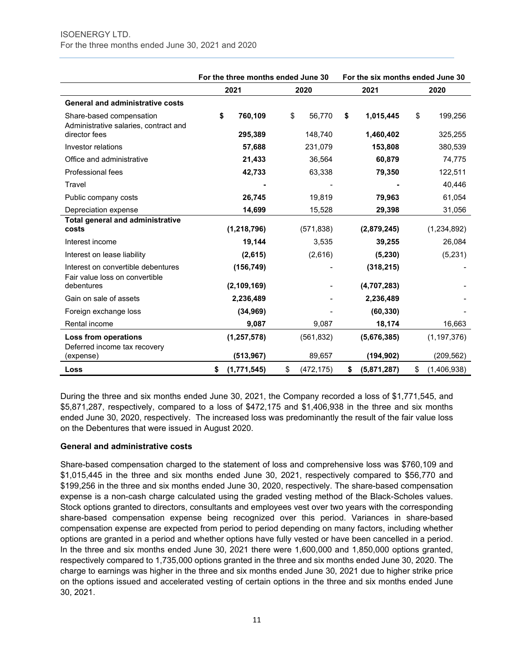|                                                        | For the three months ended June 30 |                  | For the six months ended June 30 |                   |
|--------------------------------------------------------|------------------------------------|------------------|----------------------------------|-------------------|
|                                                        | 2021                               | 2020             | 2021                             | 2020              |
| <b>General and administrative costs</b>                |                                    |                  |                                  |                   |
| Share-based compensation                               | \$<br>760,109                      | \$<br>56,770     | \$<br>1,015,445                  | \$<br>199,256     |
| Administrative salaries, contract and<br>director fees | 295,389                            | 148,740          | 1,460,402                        | 325,255           |
| Investor relations                                     | 57,688                             | 231,079          | 153,808                          | 380,539           |
| Office and administrative                              | 21,433                             | 36,564           | 60,879                           | 74,775            |
| Professional fees                                      | 42,733                             | 63,338           | 79,350                           | 122,511           |
| Travel                                                 |                                    |                  |                                  | 40,446            |
| Public company costs                                   | 26,745                             | 19,819           | 79,963                           | 61,054            |
| Depreciation expense                                   | 14,699                             | 15,528           | 29,398                           | 31,056            |
| <b>Total general and administrative</b>                |                                    |                  |                                  |                   |
| costs                                                  | (1, 218, 796)                      | (571, 838)       | (2,879,245)                      | (1,234,892)       |
| Interest income                                        | 19,144                             | 3,535            | 39,255                           | 26,084            |
| Interest on lease liability                            | (2,615)                            | (2,616)          | (5, 230)                         | (5,231)           |
| Interest on convertible debentures                     | (156, 749)                         |                  | (318, 215)                       |                   |
| Fair value loss on convertible<br>debentures           | (2,109,169)                        |                  | (4,707,283)                      |                   |
| Gain on sale of assets                                 | 2,236,489                          |                  | 2,236,489                        |                   |
| Foreign exchange loss                                  | (34, 969)                          |                  | (60, 330)                        |                   |
| Rental income                                          | 9,087                              | 9,087            | 18,174                           | 16,663            |
| Loss from operations                                   | (1, 257, 578)                      | (561, 832)       | (5,676,385)                      | (1, 197, 376)     |
| Deferred income tax recovery<br>(expense)              | (513, 967)                         | 89,657           | (194, 902)                       | (209, 562)        |
| Loss                                                   | \$<br>(1,771,545)                  | \$<br>(472, 175) | \$<br>(5,871,287)                | \$<br>(1,406,938) |

During the three and six months ended June 30, 2021, the Company recorded a loss of \$1,771,545, and \$5,871,287, respectively, compared to a loss of \$472,175 and \$1,406,938 in the three and six months ended June 30, 2020, respectively. The increased loss was predominantly the result of the fair value loss on the Debentures that were issued in August 2020.

## **General and administrative costs**

Share-based compensation charged to the statement of loss and comprehensive loss was \$760,109 and \$1,015,445 in the three and six months ended June 30, 2021, respectively compared to \$56,770 and \$199,256 in the three and six months ended June 30, 2020, respectively. The share-based compensation expense is a non-cash charge calculated using the graded vesting method of the Black-Scholes values. Stock options granted to directors, consultants and employees vest over two years with the corresponding share-based compensation expense being recognized over this period. Variances in share-based compensation expense are expected from period to period depending on many factors, including whether options are granted in a period and whether options have fully vested or have been cancelled in a period. In the three and six months ended June 30, 2021 there were 1,600,000 and 1,850,000 options granted, respectively compared to 1,735,000 options granted in the three and six months ended June 30, 2020. The charge to earnings was higher in the three and six months ended June 30, 2021 due to higher strike price on the options issued and accelerated vesting of certain options in the three and six months ended June 30, 2021.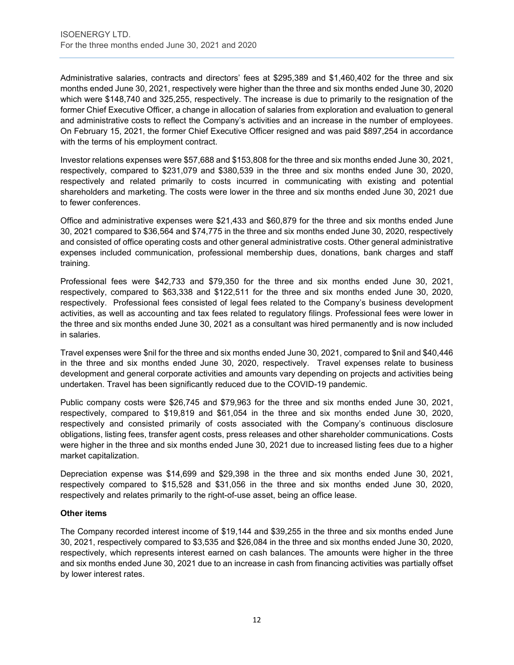Administrative salaries, contracts and directors' fees at \$295,389 and \$1,460,402 for the three and six months ended June 30, 2021, respectively were higher than the three and six months ended June 30, 2020 which were \$148,740 and 325,255, respectively. The increase is due to primarily to the resignation of the former Chief Executive Officer, a change in allocation of salaries from exploration and evaluation to general and administrative costs to reflect the Company's activities and an increase in the number of employees. On February 15, 2021, the former Chief Executive Officer resigned and was paid \$897,254 in accordance with the terms of his employment contract.

Investor relations expenses were \$57,688 and \$153,808 for the three and six months ended June 30, 2021, respectively, compared to \$231,079 and \$380,539 in the three and six months ended June 30, 2020, respectively and related primarily to costs incurred in communicating with existing and potential shareholders and marketing. The costs were lower in the three and six months ended June 30, 2021 due to fewer conferences.

Office and administrative expenses were \$21,433 and \$60,879 for the three and six months ended June 30, 2021 compared to \$36,564 and \$74,775 in the three and six months ended June 30, 2020, respectively and consisted of office operating costs and other general administrative costs. Other general administrative expenses included communication, professional membership dues, donations, bank charges and staff training.

Professional fees were \$42,733 and \$79,350 for the three and six months ended June 30, 2021, respectively, compared to \$63,338 and \$122,511 for the three and six months ended June 30, 2020, respectively. Professional fees consisted of legal fees related to the Company's business development activities, as well as accounting and tax fees related to regulatory filings. Professional fees were lower in the three and six months ended June 30, 2021 as a consultant was hired permanently and is now included in salaries.

Travel expenses were \$nil for the three and six months ended June 30, 2021, compared to \$nil and \$40,446 in the three and six months ended June 30, 2020, respectively. Travel expenses relate to business development and general corporate activities and amounts vary depending on projects and activities being undertaken. Travel has been significantly reduced due to the COVID-19 pandemic.

Public company costs were \$26,745 and \$79,963 for the three and six months ended June 30, 2021, respectively, compared to \$19,819 and \$61,054 in the three and six months ended June 30, 2020, respectively and consisted primarily of costs associated with the Company's continuous disclosure obligations, listing fees, transfer agent costs, press releases and other shareholder communications. Costs were higher in the three and six months ended June 30, 2021 due to increased listing fees due to a higher market capitalization.

Depreciation expense was \$14,699 and \$29,398 in the three and six months ended June 30, 2021, respectively compared to \$15,528 and \$31,056 in the three and six months ended June 30, 2020, respectively and relates primarily to the right-of-use asset, being an office lease.

## **Other items**

The Company recorded interest income of \$19,144 and \$39,255 in the three and six months ended June 30, 2021, respectively compared to \$3,535 and \$26,084 in the three and six months ended June 30, 2020, respectively, which represents interest earned on cash balances. The amounts were higher in the three and six months ended June 30, 2021 due to an increase in cash from financing activities was partially offset by lower interest rates.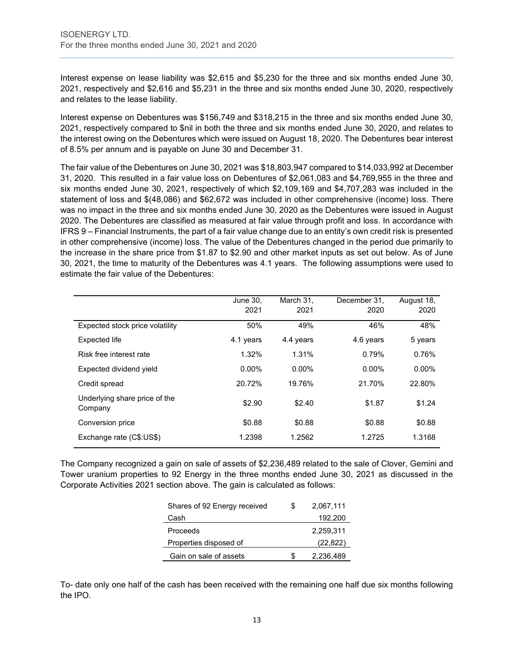Interest expense on lease liability was \$2,615 and \$5,230 for the three and six months ended June 30, 2021, respectively and \$2,616 and \$5,231 in the three and six months ended June 30, 2020, respectively and relates to the lease liability.

Interest expense on Debentures was \$156,749 and \$318,215 in the three and six months ended June 30, 2021, respectively compared to \$nil in both the three and six months ended June 30, 2020, and relates to the interest owing on the Debentures which were issued on August 18, 2020. The Debentures bear interest of 8.5% per annum and is payable on June 30 and December 31.

The fair value of the Debentures on June 30, 2021 was \$18,803,947 compared to \$14,033,992 at December 31, 2020. This resulted in a fair value loss on Debentures of \$2,061,083 and \$4,769,955 in the three and six months ended June 30, 2021, respectively of which \$2,109,169 and \$4,707,283 was included in the statement of loss and \$(48,086) and \$62,672 was included in other comprehensive (income) loss. There was no impact in the three and six months ended June 30, 2020 as the Debentures were issued in August 2020. The Debentures are classified as measured at fair value through profit and loss. In accordance with IFRS 9 – Financial Instruments, the part of a fair value change due to an entity's own credit risk is presented in other comprehensive (income) loss. The value of the Debentures changed in the period due primarily to the increase in the share price from \$1.87 to \$2.90 and other market inputs as set out below. As of June 30, 2021, the time to maturity of the Debentures was 4.1 years. The following assumptions were used to estimate the fair value of the Debentures:

|                                          | June 30.<br>2021 | March 31.<br>2021 | December 31.<br>2020 | August 18,<br>2020 |
|------------------------------------------|------------------|-------------------|----------------------|--------------------|
| Expected stock price volatility          | 50%              | 49%               | 46%                  | 48%                |
| Expected life                            | 4.1 years        | 4.4 years         | 4.6 years            | 5 years            |
| Risk free interest rate                  | 1.32%            | 1.31%             | 0.79%                | 0.76%              |
| Expected dividend yield                  | $0.00\%$         | $0.00\%$          | $0.00\%$             | $0.00\%$           |
| Credit spread                            | 20.72%           | 19.76%            | 21.70%               | 22.80%             |
| Underlying share price of the<br>Company | \$2.90           | \$2.40            | \$1.87               | \$1.24             |
| Conversion price                         | \$0.88           | \$0.88            | \$0.88               | \$0.88             |
| Exchange rate (C\$:US\$)                 | 1.2398           | 1.2562            | 1.2725               | 1.3168             |

The Company recognized a gain on sale of assets of \$2,236,489 related to the sale of Clover, Gemini and Tower uranium properties to 92 Energy in the three months ended June 30, 2021 as discussed in the Corporate Activities 2021 section above. The gain is calculated as follows:

| Shares of 92 Energy received | S | 2,067,111 |
|------------------------------|---|-----------|
| Cash                         |   | 192,200   |
| Proceeds                     |   | 2.259.311 |
| Properties disposed of       |   | (22, 822) |
| Gain on sale of assets       |   | 2,236,489 |

To- date only one half of the cash has been received with the remaining one half due six months following the IPO.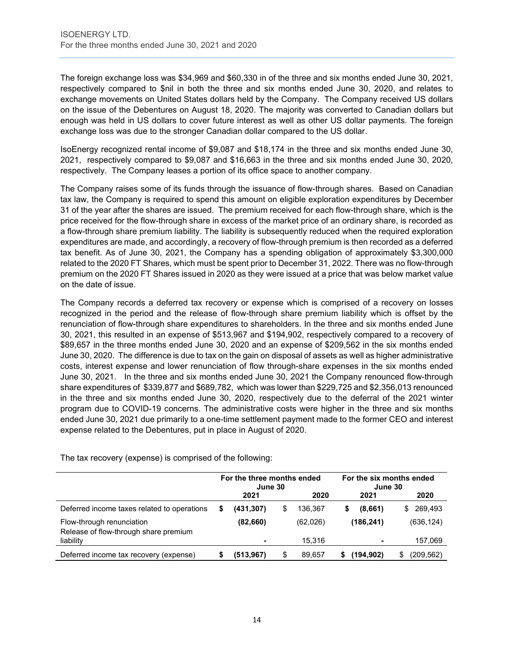The foreign exchange loss was \$34,969 and \$60,330 in of the three and six months ended June 30, 2021, respectively compared to \$nil in both the three and six months ended June 30, 2020, and relates to exchange movements on United States dollars held by the Company. The Company received US dollars on the issue of the Debentures on August 18, 2020. The majority was converted to Canadian dollars but enough was held in US dollars to cover future interest as well as other US dollar payments. The foreign exchange loss was due to the stronger Canadian dollar compared to the US dollar.

IsoEnergy recognized rental income of \$9,087 and \$18,174 in the three and six months ended June 30, 2021, respectively compared to \$9,087 and \$16,663 in the three and six months ended June 30, 2020, respectively. The Company leases a portion of its office space to another company.

The Company raises some of its funds through the issuance of flow-through shares. Based on Canadian tax law, the Company is required to spend this amount on eligible exploration expenditures by December 31 of the year after the shares are issued. The premium received for each flow-through share, which is the price received for the flow-through share in excess of the market price of an ordinary share, is recorded as a flow-through share premium liability. The liability is subsequently reduced when the required exploration expenditures are made, and accordingly, a recovery of flow-through premium is then recorded as a deferred tax benefit. As of June 30, 2021, the Company has a spending obligation of approximately \$3,300,000 related to the 2020 FT Shares, which must be spent prior to December 31, 2022. There was no flow-through premium on the 2020 FT Shares issued in 2020 as they were issued at a price that was below market value on the date of issue.

The Company records a deferred tax recovery or expense which is comprised of a recovery on losses recognized in the period and the release of flow-through share premium liability which is offset by the renunciation of flow-through share expenditures to shareholders. In the three and six months ended June 30, 2021, this resulted in an expense of \$513,967 and \$194,902, respectively compared to a recovery of \$89,657 in the three months ended June 30, 2020 and an expense of \$209,562 in the six months ended June 30, 2020. The difference is due to tax on the gain on disposal of assets as well as higher administrative costs, interest expense and lower renunciation of flow through-share expenses in the six months ended June 30, 2021. In the three and six months ended June 30, 2021 the Company renounced flow-through share expenditures of \$339,877 and \$689,782, which was lower than \$229,725 and \$2,356,013 renounced in the three and six months ended June 30, 2020, respectively due to the deferral of the 2021 winter program due to COVID-19 concerns. The administrative costs were higher in the three and six months ended June 30, 2021 due primarily to a one-time settlement payment made to the former CEO and interest expense related to the Debentures, put in place in August of 2020.

|                                                                    | For the three months ended<br>June 30 |            |   | For the six months ended<br>June 30 |  |                          |                |
|--------------------------------------------------------------------|---------------------------------------|------------|---|-------------------------------------|--|--------------------------|----------------|
|                                                                    |                                       | 2021       |   | 2020                                |  | 2021                     | 2020           |
| Deferred income taxes related to operations                        | S                                     | (431, 307) | S | 136.367                             |  | (8,661)                  | 269.493<br>\$. |
| Flow-through renunciation<br>Release of flow-through share premium |                                       | (82,660)   |   | (62,026)                            |  | (186, 241)               | (636, 124)     |
| liability                                                          |                                       |            |   | 15.316                              |  | $\overline{\phantom{0}}$ | 157,069        |
| Deferred income tax recovery (expense)                             |                                       | (513, 967) | S | 89.657                              |  | (194, 902)               | (209,562)      |

The tax recovery (expense) is comprised of the following: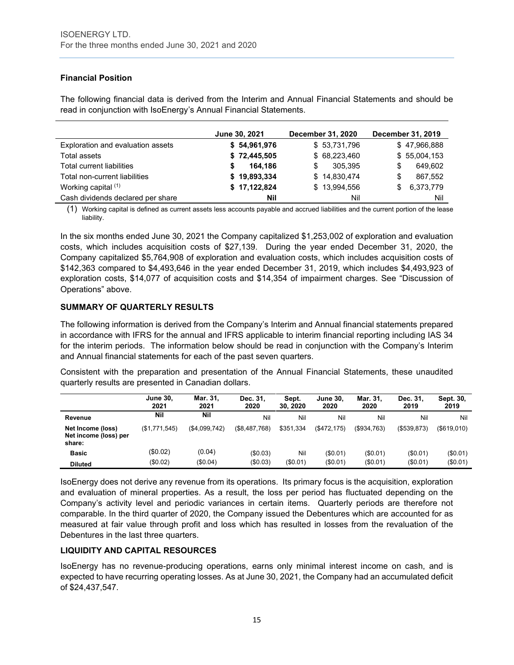## **Financial Position**

The following financial data is derived from the Interim and Annual Financial Statements and should be read in conjunction with IsoEnergy's Annual Financial Statements.

|                                   | June 30, 2021 | <b>December 31, 2020</b> | December 31, 2019 |
|-----------------------------------|---------------|--------------------------|-------------------|
| Exploration and evaluation assets | \$54,961,976  | \$53,731,796             | \$47,966,888      |
| Total assets                      | \$72,445,505  | \$68,223,460             | \$55,004,153      |
| Total current liabilities         | 164.186<br>S  | 305.395<br>S.            | 649,602<br>S      |
| Total non-current liabilities     | \$19,893,334  | \$14,830,474             | 867,552<br>S      |
| Working capital (1)               | \$17,122,824  | \$13,994,556             | 6,373,779<br>\$   |
| Cash dividends declared per share | Nil           | Nil                      | Nil               |

(1) Working capital is defined as current assets less accounts payable and accrued liabilities and the current portion of the lease liability.

In the six months ended June 30, 2021 the Company capitalized \$1,253,002 of exploration and evaluation costs, which includes acquisition costs of \$27,139. During the year ended December 31, 2020, the Company capitalized \$5,764,908 of exploration and evaluation costs, which includes acquisition costs of \$142,363 compared to \$4,493,646 in the year ended December 31, 2019, which includes \$4,493,923 of exploration costs, \$14,077 of acquisition costs and \$14,354 of impairment charges. See "Discussion of Operations" above.

## **SUMMARY OF QUARTERLY RESULTS**

The following information is derived from the Company's Interim and Annual financial statements prepared in accordance with IFRS for the annual and IFRS applicable to interim financial reporting including IAS 34 for the interim periods. The information below should be read in conjunction with the Company's Interim and Annual financial statements for each of the past seven quarters.

Consistent with the preparation and presentation of the Annual Financial Statements, these unaudited quarterly results are presented in Canadian dollars.

|                                                      | <b>June 30.</b><br>2021 | Mar. 31.<br>2021 | Dec. 31.<br>2020 | Sept.<br>30.2020 | <b>June 30.</b><br>2020 | Mar. 31.<br>2020 | Dec. 31.<br>2019 | Sept. 30,<br>2019 |
|------------------------------------------------------|-------------------------|------------------|------------------|------------------|-------------------------|------------------|------------------|-------------------|
| Revenue                                              | Nil                     | Nil              | Nil              | Nil              | Nil                     | Nil              | Nil              | Nil               |
| Net Income (loss)<br>Net income (loss) per<br>share: | (\$1,771,545)           | (\$4,099,742)    | (\$8,487,768)    | \$351.334        | $($ \$472.175)          | $($ \$934,763)   | (\$539,873)      | $($ \$619,010)    |
| <b>Basic</b>                                         | (\$0.02)                | (0.04)           | (\$0.03)         | Nil              | (\$0.01)                | (\$0.01)         | (S0.01)          | (\$0.01)          |
| <b>Diluted</b>                                       | (\$0.02)                | (\$0.04)         | (\$0.03)         | (\$0.01)         | (\$0.01)                | (\$0.01)         | (\$0.01)         | (\$0.01)          |

IsoEnergy does not derive any revenue from its operations. Its primary focus is the acquisition, exploration and evaluation of mineral properties. As a result, the loss per period has fluctuated depending on the Company's activity level and periodic variances in certain items. Quarterly periods are therefore not comparable. In the third quarter of 2020, the Company issued the Debentures which are accounted for as measured at fair value through profit and loss which has resulted in losses from the revaluation of the Debentures in the last three quarters.

#### **LIQUIDITY AND CAPITAL RESOURCES**

IsoEnergy has no revenue-producing operations, earns only minimal interest income on cash, and is expected to have recurring operating losses. As at June 30, 2021, the Company had an accumulated deficit of \$24,437,547.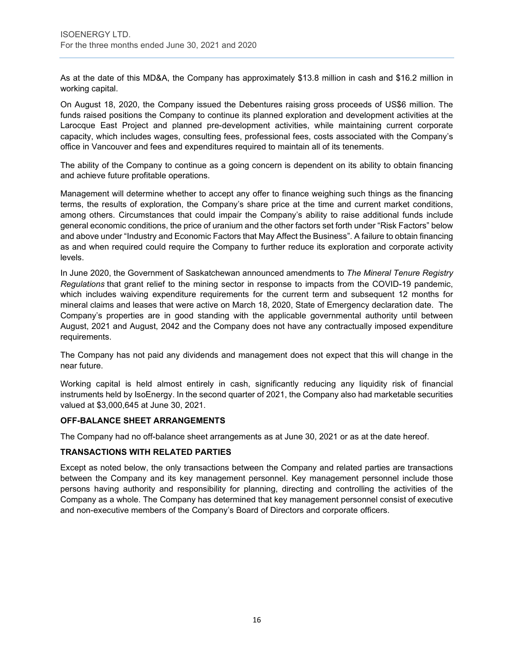As at the date of this MD&A, the Company has approximately \$13.8 million in cash and \$16.2 million in working capital.

On August 18, 2020, the Company issued the Debentures raising gross proceeds of US\$6 million. The funds raised positions the Company to continue its planned exploration and development activities at the Larocque East Project and planned pre-development activities, while maintaining current corporate capacity, which includes wages, consulting fees, professional fees, costs associated with the Company's office in Vancouver and fees and expenditures required to maintain all of its tenements.

The ability of the Company to continue as a going concern is dependent on its ability to obtain financing and achieve future profitable operations.

Management will determine whether to accept any offer to finance weighing such things as the financing terms, the results of exploration, the Company's share price at the time and current market conditions, among others. Circumstances that could impair the Company's ability to raise additional funds include general economic conditions, the price of uranium and the other factors set forth under "Risk Factors" below and above under "Industry and Economic Factors that May Affect the Business". A failure to obtain financing as and when required could require the Company to further reduce its exploration and corporate activity levels.

In June 2020, the Government of Saskatchewan announced amendments to *The Mineral Tenure Registry Regulations* that grant relief to the mining sector in response to impacts from the COVID-19 pandemic, which includes waiving expenditure requirements for the current term and subsequent 12 months for mineral claims and leases that were active on March 18, 2020, State of Emergency declaration date. The Company's properties are in good standing with the applicable governmental authority until between August, 2021 and August, 2042 and the Company does not have any contractually imposed expenditure requirements.

The Company has not paid any dividends and management does not expect that this will change in the near future.

Working capital is held almost entirely in cash, significantly reducing any liquidity risk of financial instruments held by IsoEnergy. In the second quarter of 2021, the Company also had marketable securities valued at \$3,000,645 at June 30, 2021.

#### **OFF-BALANCE SHEET ARRANGEMENTS**

The Company had no off-balance sheet arrangements as at June 30, 2021 or as at the date hereof.

## **TRANSACTIONS WITH RELATED PARTIES**

Except as noted below, the only transactions between the Company and related parties are transactions between the Company and its key management personnel. Key management personnel include those persons having authority and responsibility for planning, directing and controlling the activities of the Company as a whole. The Company has determined that key management personnel consist of executive and non-executive members of the Company's Board of Directors and corporate officers.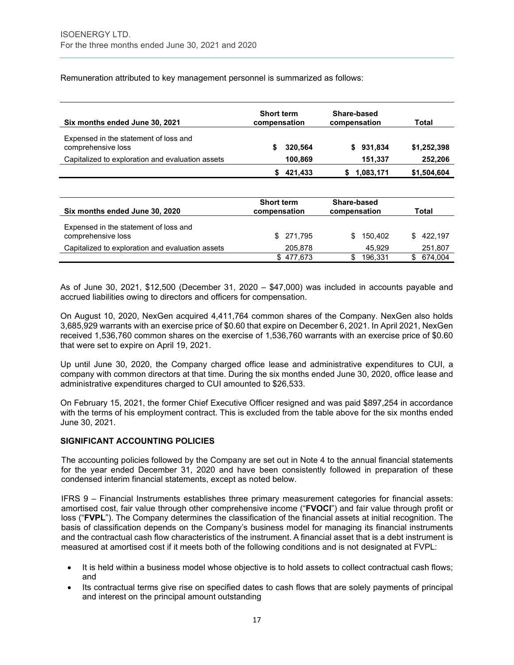Remuneration attributed to key management personnel is summarized as follows:

| Six months ended June 30, 2021                              | <b>Short term</b><br>compensation | Share-based<br>compensation | Total       |
|-------------------------------------------------------------|-----------------------------------|-----------------------------|-------------|
| Expensed in the statement of loss and<br>comprehensive loss | 320,564                           | \$931,834                   | \$1,252,398 |
| Capitalized to exploration and evaluation assets            | 100.869                           | 151.337                     | 252,206     |
|                                                             | 421.433                           | 1.083.171                   | \$1.504.604 |

| Six months ended June 30, 2020                              | <b>Short term</b><br>compensation | Share-based<br>compensation | Total         |
|-------------------------------------------------------------|-----------------------------------|-----------------------------|---------------|
| Expensed in the statement of loss and<br>comprehensive loss | \$271,795                         | 150.402<br>\$.              | 422.197<br>S. |
| Capitalized to exploration and evaluation assets            | 205.878                           | 45.929                      | 251,807       |
|                                                             | \$477.673                         | 196.331                     | 674.004       |

As of June 30, 2021, \$12,500 (December 31, 2020 – \$47,000) was included in accounts payable and accrued liabilities owing to directors and officers for compensation.

On August 10, 2020, NexGen acquired 4,411,764 common shares of the Company. NexGen also holds 3,685,929 warrants with an exercise price of \$0.60 that expire on December 6, 2021. In April 2021, NexGen received 1,536,760 common shares on the exercise of 1,536,760 warrants with an exercise price of \$0.60 that were set to expire on April 19, 2021.

Up until June 30, 2020, the Company charged office lease and administrative expenditures to CUI, a company with common directors at that time. During the six months ended June 30, 2020, office lease and administrative expenditures charged to CUI amounted to \$26,533.

On February 15, 2021, the former Chief Executive Officer resigned and was paid \$897,254 in accordance with the terms of his employment contract. This is excluded from the table above for the six months ended June 30, 2021.

#### **SIGNIFICANT ACCOUNTING POLICIES**

The accounting policies followed by the Company are set out in Note 4 to the annual financial statements for the year ended December 31, 2020 and have been consistently followed in preparation of these condensed interim financial statements, except as noted below.

IFRS 9 – Financial Instruments establishes three primary measurement categories for financial assets: amortised cost, fair value through other comprehensive income ("**FVOCI**") and fair value through profit or loss ("**FVPL**"). The Company determines the classification of the financial assets at initial recognition. The basis of classification depends on the Company's business model for managing its financial instruments and the contractual cash flow characteristics of the instrument. A financial asset that is a debt instrument is measured at amortised cost if it meets both of the following conditions and is not designated at FVPL:

- It is held within a business model whose objective is to hold assets to collect contractual cash flows; and
- Its contractual terms give rise on specified dates to cash flows that are solely payments of principal and interest on the principal amount outstanding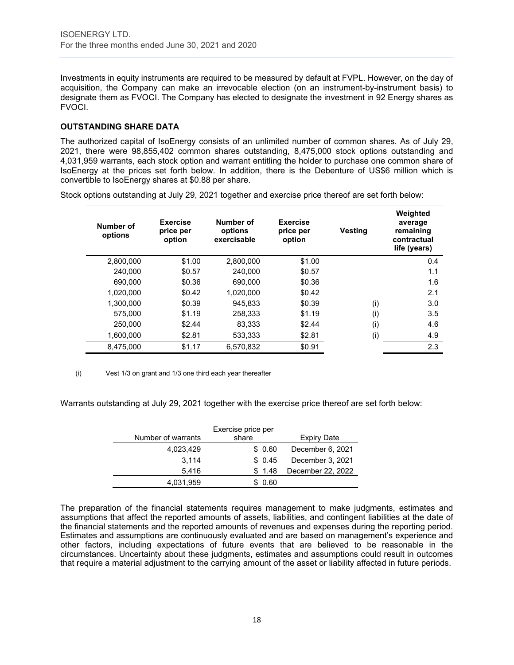Investments in equity instruments are required to be measured by default at FVPL. However, on the day of acquisition, the Company can make an irrevocable election (on an instrument-by-instrument basis) to designate them as FVOCI. The Company has elected to designate the investment in 92 Energy shares as FVOCI.

## **OUTSTANDING SHARE DATA**

The authorized capital of IsoEnergy consists of an unlimited number of common shares. As of July 29, 2021, there were 98,855,402 common shares outstanding, 8,475,000 stock options outstanding and 4,031,959 warrants, each stock option and warrant entitling the holder to purchase one common share of IsoEnergy at the prices set forth below. In addition, there is the Debenture of US\$6 million which is convertible to IsoEnergy shares at \$0.88 per share.

| Number of<br>options | <b>Exercise</b><br>price per<br>option | Number of<br>options<br>exercisable | <b>Exercise</b><br>price per<br>option | Vesting | Weighted<br>average<br>remaining<br>contractual<br>life (years) |
|----------------------|----------------------------------------|-------------------------------------|----------------------------------------|---------|-----------------------------------------------------------------|
| 2,800,000            | \$1.00                                 | 2.800.000                           | \$1.00                                 |         | 0.4                                                             |
| 240.000              | \$0.57                                 | 240.000                             | \$0.57                                 |         | 1.1                                                             |
| 690,000              | \$0.36                                 | 690,000                             | \$0.36                                 |         | 1.6                                                             |
| 1.020.000            | \$0.42                                 | 1.020.000                           | \$0.42                                 |         | 2.1                                                             |
| 1.300.000            | \$0.39                                 | 945.833                             | \$0.39                                 | (i)     | 3.0                                                             |
| 575.000              | \$1.19                                 | 258.333                             | \$1.19                                 | (i)     | 3.5                                                             |
| 250,000              | \$2.44                                 | 83,333                              | \$2.44                                 | (i)     | 4.6                                                             |
| 1.600.000            | \$2.81                                 | 533.333                             | \$2.81                                 | (i)     | 4.9                                                             |
| 8,475,000            | \$1.17                                 | 6.570.832                           | \$0.91                                 |         | 2.3                                                             |

Stock options outstanding at July 29, 2021 together and exercise price thereof are set forth below:

(i) Vest 1/3 on grant and 1/3 one third each year thereafter

Warrants outstanding at July 29, 2021 together with the exercise price thereof are set forth below:

| Number of warrants | Exercise price per<br>share | Expiry Date       |
|--------------------|-----------------------------|-------------------|
| 4,023,429          | \$0.60                      | December 6, 2021  |
| 3.114              | \$0.45                      | December 3, 2021  |
| 5,416              | \$1.48                      | December 22, 2022 |
| 4,031,959          | 0.60                        |                   |

The preparation of the financial statements requires management to make judgments, estimates and assumptions that affect the reported amounts of assets, liabilities, and contingent liabilities at the date of the financial statements and the reported amounts of revenues and expenses during the reporting period. Estimates and assumptions are continuously evaluated and are based on management's experience and other factors, including expectations of future events that are believed to be reasonable in the circumstances. Uncertainty about these judgments, estimates and assumptions could result in outcomes that require a material adjustment to the carrying amount of the asset or liability affected in future periods.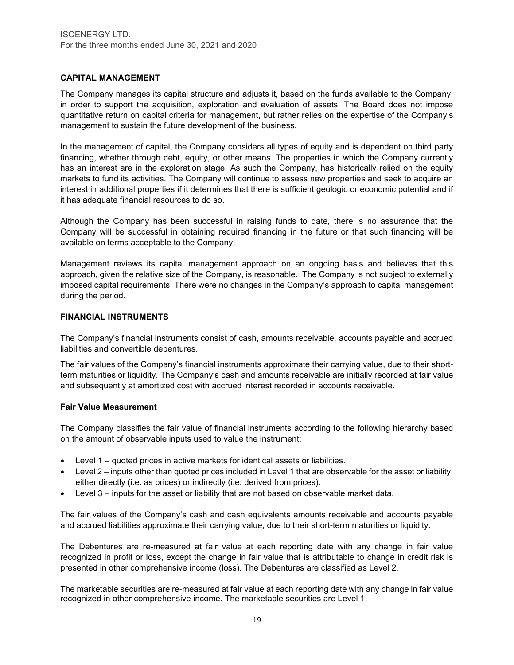## **CAPITAL MANAGEMENT**

The Company manages its capital structure and adjusts it, based on the funds available to the Company, in order to support the acquisition, exploration and evaluation of assets. The Board does not impose quantitative return on capital criteria for management, but rather relies on the expertise of the Company's management to sustain the future development of the business.

In the management of capital, the Company considers all types of equity and is dependent on third party financing, whether through debt, equity, or other means. The properties in which the Company currently has an interest are in the exploration stage. As such the Company, has historically relied on the equity markets to fund its activities. The Company will continue to assess new properties and seek to acquire an interest in additional properties if it determines that there is sufficient geologic or economic potential and if it has adequate financial resources to do so.

Although the Company has been successful in raising funds to date, there is no assurance that the Company will be successful in obtaining required financing in the future or that such financing will be available on terms acceptable to the Company.

Management reviews its capital management approach on an ongoing basis and believes that this approach, given the relative size of the Company, is reasonable. The Company is not subject to externally imposed capital requirements. There were no changes in the Company's approach to capital management during the period.

#### **FINANCIAL INSTRUMENTS**

The Company's financial instruments consist of cash, amounts receivable, accounts payable and accrued liabilities and convertible debentures.

The fair values of the Company's financial instruments approximate their carrying value, due to their shortterm maturities or liquidity. The Company's cash and amounts receivable are initially recorded at fair value and subsequently at amortized cost with accrued interest recorded in accounts receivable.

#### **Fair Value Measurement**

The Company classifies the fair value of financial instruments according to the following hierarchy based on the amount of observable inputs used to value the instrument:

- Level 1 quoted prices in active markets for identical assets or liabilities.
- Level 2 inputs other than quoted prices included in Level 1 that are observable for the asset or liability, either directly (i.e. as prices) or indirectly (i.e. derived from prices).
- Level 3 inputs for the asset or liability that are not based on observable market data.

The fair values of the Company's cash and cash equivalents amounts receivable and accounts payable and accrued liabilities approximate their carrying value, due to their short-term maturities or liquidity.

The Debentures are re-measured at fair value at each reporting date with any change in fair value recognized in profit or loss, except the change in fair value that is attributable to change in credit risk is presented in other comprehensive income (loss). The Debentures are classified as Level 2.

The marketable securities are re-measured at fair value at each reporting date with any change in fair value recognized in other comprehensive income. The marketable securities are Level 1.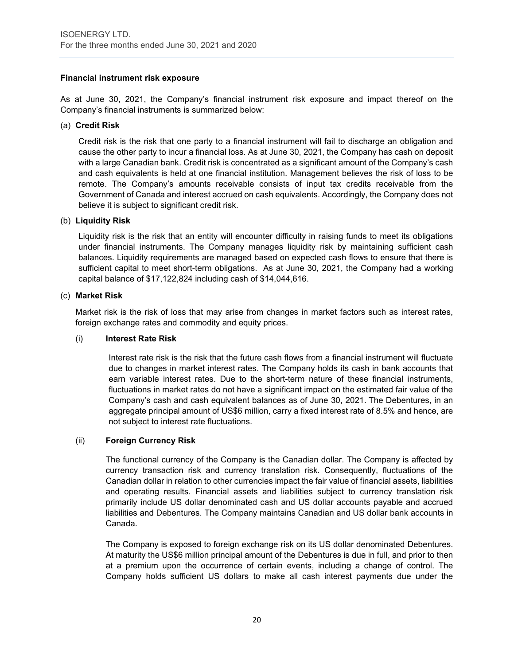## **Financial instrument risk exposure**

As at June 30, 2021, the Company's financial instrument risk exposure and impact thereof on the Company's financial instruments is summarized below:

#### (a) **Credit Risk**

Credit risk is the risk that one party to a financial instrument will fail to discharge an obligation and cause the other party to incur a financial loss. As at June 30, 2021, the Company has cash on deposit with a large Canadian bank. Credit risk is concentrated as a significant amount of the Company's cash and cash equivalents is held at one financial institution. Management believes the risk of loss to be remote. The Company's amounts receivable consists of input tax credits receivable from the Government of Canada and interest accrued on cash equivalents. Accordingly, the Company does not believe it is subject to significant credit risk.

#### (b) **Liquidity Risk**

Liquidity risk is the risk that an entity will encounter difficulty in raising funds to meet its obligations under financial instruments. The Company manages liquidity risk by maintaining sufficient cash balances. Liquidity requirements are managed based on expected cash flows to ensure that there is sufficient capital to meet short-term obligations. As at June 30, 2021, the Company had a working capital balance of \$17,122,824 including cash of \$14,044,616.

## (c) **Market Risk**

Market risk is the risk of loss that may arise from changes in market factors such as interest rates, foreign exchange rates and commodity and equity prices.

#### (i) **Interest Rate Risk**

Interest rate risk is the risk that the future cash flows from a financial instrument will fluctuate due to changes in market interest rates. The Company holds its cash in bank accounts that earn variable interest rates. Due to the short-term nature of these financial instruments, fluctuations in market rates do not have a significant impact on the estimated fair value of the Company's cash and cash equivalent balances as of June 30, 2021. The Debentures, in an aggregate principal amount of US\$6 million, carry a fixed interest rate of 8.5% and hence, are not subject to interest rate fluctuations.

#### (ii) **Foreign Currency Risk**

The functional currency of the Company is the Canadian dollar. The Company is affected by currency transaction risk and currency translation risk. Consequently, fluctuations of the Canadian dollar in relation to other currencies impact the fair value of financial assets, liabilities and operating results. Financial assets and liabilities subject to currency translation risk primarily include US dollar denominated cash and US dollar accounts payable and accrued liabilities and Debentures. The Company maintains Canadian and US dollar bank accounts in Canada.

The Company is exposed to foreign exchange risk on its US dollar denominated Debentures. At maturity the US\$6 million principal amount of the Debentures is due in full, and prior to then at a premium upon the occurrence of certain events, including a change of control. The Company holds sufficient US dollars to make all cash interest payments due under the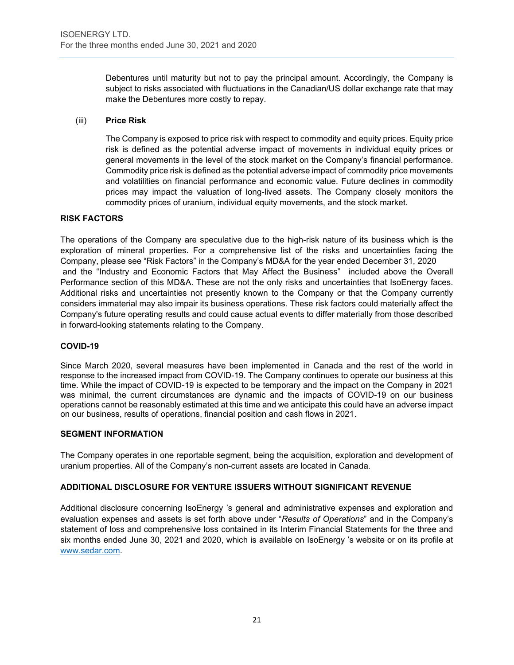Debentures until maturity but not to pay the principal amount. Accordingly, the Company is subject to risks associated with fluctuations in the Canadian/US dollar exchange rate that may make the Debentures more costly to repay.

## (iii) **Price Risk**

The Company is exposed to price risk with respect to commodity and equity prices. Equity price risk is defined as the potential adverse impact of movements in individual equity prices or general movements in the level of the stock market on the Company's financial performance. Commodity price risk is defined as the potential adverse impact of commodity price movements and volatilities on financial performance and economic value. Future declines in commodity prices may impact the valuation of long-lived assets. The Company closely monitors the commodity prices of uranium, individual equity movements, and the stock market.

## **RISK FACTORS**

The operations of the Company are speculative due to the high-risk nature of its business which is the exploration of mineral properties. For a comprehensive list of the risks and uncertainties facing the Company, please see "Risk Factors" in the Company's MD&A for the year ended December 31, 2020 and the "Industry and Economic Factors that May Affect the Business" included above the Overall Performance section of this MD&A. These are not the only risks and uncertainties that IsoEnergy faces. Additional risks and uncertainties not presently known to the Company or that the Company currently considers immaterial may also impair its business operations. These risk factors could materially affect the Company's future operating results and could cause actual events to differ materially from those described in forward-looking statements relating to the Company.

#### **COVID-19**

Since March 2020, several measures have been implemented in Canada and the rest of the world in response to the increased impact from COVID-19. The Company continues to operate our business at this time. While the impact of COVID-19 is expected to be temporary and the impact on the Company in 2021 was minimal, the current circumstances are dynamic and the impacts of COVID-19 on our business operations cannot be reasonably estimated at this time and we anticipate this could have an adverse impact on our business, results of operations, financial position and cash flows in 2021.

#### **SEGMENT INFORMATION**

The Company operates in one reportable segment, being the acquisition, exploration and development of uranium properties. All of the Company's non-current assets are located in Canada.

## **ADDITIONAL DISCLOSURE FOR VENTURE ISSUERS WITHOUT SIGNIFICANT REVENUE**

Additional disclosure concerning IsoEnergy 's general and administrative expenses and exploration and evaluation expenses and assets is set forth above under "*Results of Operations*" and in the Company's statement of loss and comprehensive loss contained in its Interim Financial Statements for the three and six months ended June 30, 2021 and 2020, which is available on IsoEnergy 's website or on its profile at [www.sedar.com.](http://www.sedar.com/)